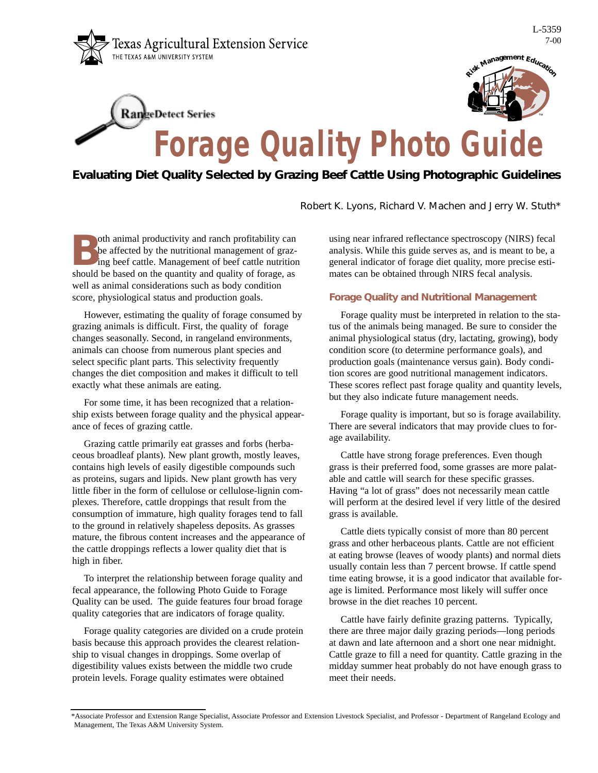

**RangeDetect Series** 



## **Forage Quality Photo Guide**

## *Evaluating Diet Quality Selected by Grazing Beef Cattle Using Photographic Guidelines*

Robert K. Lyons, Richard V. Machen and Jerry W. Stuth\*

oth animal productivity and ranch profitability can be affected by the nutritional management of grazing beef cattle. Management of beef cattle nutrition should be based on the quantity and quality of forage, as well as animal considerations such as body condition score, physiological status and production goals.

However, estimating the quality of forage consumed by grazing animals is difficult. First, the quality of forage changes seasonally. Second, in rangeland environments, animals can choose from numerous plant species and select specific plant parts. This selectivity frequently changes the diet composition and makes it difficult to tell exactly what these animals are eating.

For some time, it has been recognized that a relationship exists between forage quality and the physical appearance of feces of grazing cattle.

Grazing cattle primarily eat grasses and forbs (herbaceous broadleaf plants). New plant growth, mostly leaves, contains high levels of easily digestible compounds such as proteins, sugars and lipids. New plant growth has very little fiber in the form of cellulose or cellulose-lignin complexes. Therefore, cattle droppings that result from the consumption of immature, high quality forages tend to fall to the ground in relatively shapeless deposits. As grasses mature, the fibrous content increases and the appearance of the cattle droppings reflects a lower quality diet that is high in fiber.

To interpret the relationship between forage quality and fecal appearance, the following Photo Guide to Forage Quality can be used. The guide features four broad forage quality categories that are indicators of forage quality.

Forage quality categories are divided on a crude protein basis because this approach provides the clearest relationship to visual changes in droppings. Some overlap of digestibility values exists between the middle two crude protein levels. Forage quality estimates were obtained

using near infrared reflectance spectroscopy (NIRS) fecal analysis. While this guide serves as, and is meant to be, a general indicator of forage diet quality, more precise estimates can be obtained through NIRS fecal analysis.

## **Forage Quality and Nutritional Management**

Forage quality must be interpreted in relation to the status of the animals being managed. Be sure to consider the animal physiological status (dry, lactating, growing), body condition score (to determine performance goals), and production goals (maintenance versus gain). Body condition scores are good nutritional management indicators. These scores reflect past forage quality and quantity levels, but they also indicate future management needs.

Forage quality is important, but so is forage availability. There are several indicators that may provide clues to forage availability.

Cattle have strong forage preferences. Even though grass is their preferred food, some grasses are more palatable and cattle will search for these specific grasses. Having "a lot of grass" does not necessarily mean cattle will perform at the desired level if very little of the desired grass is available.

Cattle diets typically consist of more than 80 percent grass and other herbaceous plants. Cattle are not efficient at eating browse (leaves of woody plants) and normal diets usually contain less than 7 percent browse. If cattle spend time eating browse, it is a good indicator that available forage is limited. Performance most likely will suffer once browse in the diet reaches 10 percent.

Cattle have fairly definite grazing patterns. Typically, there are three major daily grazing periods—long periods at dawn and late afternoon and a short one near midnight. Cattle graze to fill a need for quantity. Cattle grazing in the midday summer heat probably do not have enough grass to meet their needs.

<sup>\*</sup>Associate Professor and Extension Range Specialist, Associate Professor and Extension Livestock Specialist, and Professor - Department of Rangeland Ecology and Management, The Texas A&M University System.